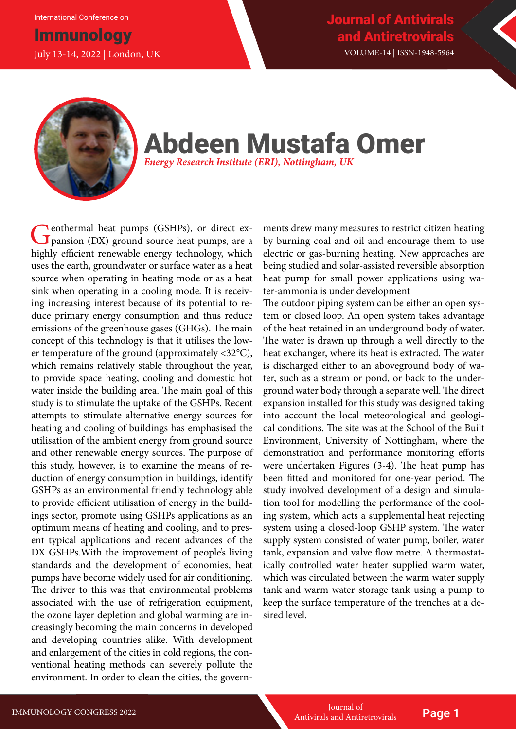International Conference on

## **Immunology** July 13-14, 2022 | London, UK



# Abdeen Mustafa Omer *Energy Research Institute (ERI), Nottingham, UK*

Ceothermal heat pumps (GSHPs), or direct expansion (DX) ground source heat pumps, are a highly efficient renewable energy technology, which uses the earth, groundwater or surface water as a heat source when operating in heating mode or as a heat sink when operating in a cooling mode. It is receiving increasing interest because of its potential to reduce primary energy consumption and thus reduce emissions of the greenhouse gases (GHGs). The main concept of this technology is that it utilises the lower temperature of the ground (approximately <32°C), which remains relatively stable throughout the year, to provide space heating, cooling and domestic hot water inside the building area. The main goal of this study is to stimulate the uptake of the GSHPs. Recent attempts to stimulate alternative energy sources for heating and cooling of buildings has emphasised the utilisation of the ambient energy from ground source and other renewable energy sources. The purpose of this study, however, is to examine the means of reduction of energy consumption in buildings, identify GSHPs as an environmental friendly technology able to provide efficient utilisation of energy in the buildings sector, promote using GSHPs applications as an optimum means of heating and cooling, and to present typical applications and recent advances of the DX GSHPs.With the improvement of people's living standards and the development of economies, heat pumps have become widely used for air conditioning. The driver to this was that environmental problems associated with the use of refrigeration equipment, the ozone layer depletion and global warming are increasingly becoming the main concerns in developed and developing countries alike. With development and enlargement of the cities in cold regions, the conventional heating methods can severely pollute the environment. In order to clean the cities, the govern-

ments drew many measures to restrict citizen heating by burning coal and oil and encourage them to use electric or gas-burning heating. New approaches are being studied and solar-assisted reversible absorption heat pump for small power applications using water-ammonia is under development

The outdoor piping system can be either an open system or closed loop. An open system takes advantage of the heat retained in an underground body of water. The water is drawn up through a well directly to the heat exchanger, where its heat is extracted. The water is discharged either to an aboveground body of water, such as a stream or pond, or back to the underground water body through a separate well. The direct expansion installed for this study was designed taking into account the local meteorological and geological conditions. The site was at the School of the Built Environment, University of Nottingham, where the demonstration and performance monitoring efforts were undertaken Figures (3-4). The heat pump has been fitted and monitored for one-year period. The study involved development of a design and simulation tool for modelling the performance of the cooling system, which acts a supplemental heat rejecting system using a closed-loop GSHP system. The water supply system consisted of water pump, boiler, water tank, expansion and valve flow metre. A thermostatically controlled water heater supplied warm water, which was circulated between the warm water supply tank and warm water storage tank using a pump to keep the surface temperature of the trenches at a desired level.